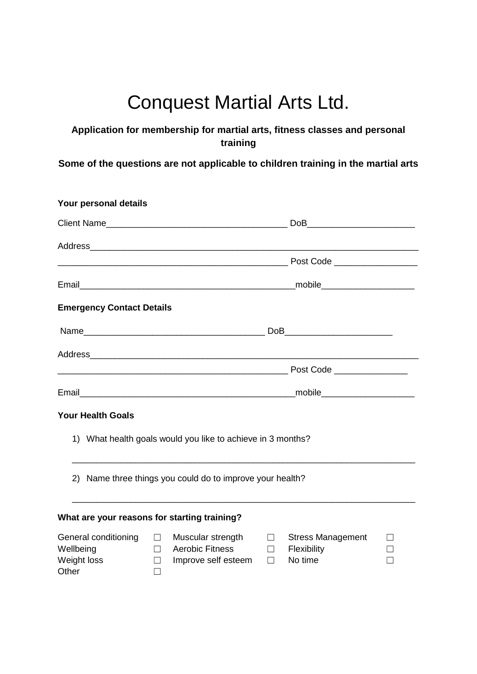# Conquest Martial Arts Ltd.

#### **Application for membership for martial arts, fitness classes and personal training**

**Some of the questions are not applicable to children training in the martial arts**

| Your personal details                                     |                                                                                                                  |                  |                                                    |                                  |
|-----------------------------------------------------------|------------------------------------------------------------------------------------------------------------------|------------------|----------------------------------------------------|----------------------------------|
|                                                           |                                                                                                                  |                  | DoB                                                |                                  |
|                                                           |                                                                                                                  |                  |                                                    |                                  |
|                                                           |                                                                                                                  |                  |                                                    |                                  |
|                                                           |                                                                                                                  |                  |                                                    |                                  |
| <b>Emergency Contact Details</b>                          |                                                                                                                  |                  |                                                    |                                  |
|                                                           |                                                                                                                  |                  |                                                    |                                  |
|                                                           |                                                                                                                  |                  |                                                    |                                  |
|                                                           |                                                                                                                  |                  |                                                    |                                  |
|                                                           |                                                                                                                  |                  |                                                    |                                  |
| <b>Your Health Goals</b>                                  |                                                                                                                  |                  |                                                    |                                  |
|                                                           | 1) What health goals would you like to achieve in 3 months?                                                      |                  |                                                    |                                  |
|                                                           | 2) Name three things you could do to improve your health?                                                        |                  |                                                    |                                  |
|                                                           | What are your reasons for starting training?                                                                     |                  |                                                    |                                  |
| General conditioning<br>Wellbeing<br>Weight loss<br>Other | Muscular strength $\Box$<br>$\Box$<br>Aerobic Fitness<br>П<br>Improve self esteem<br>$\Box$<br>$\vert \ \ \vert$ | $\Box$<br>$\Box$ | <b>Stress Management</b><br>Flexibility<br>No time | $\Box$<br>$\vert \ \ \vert$<br>П |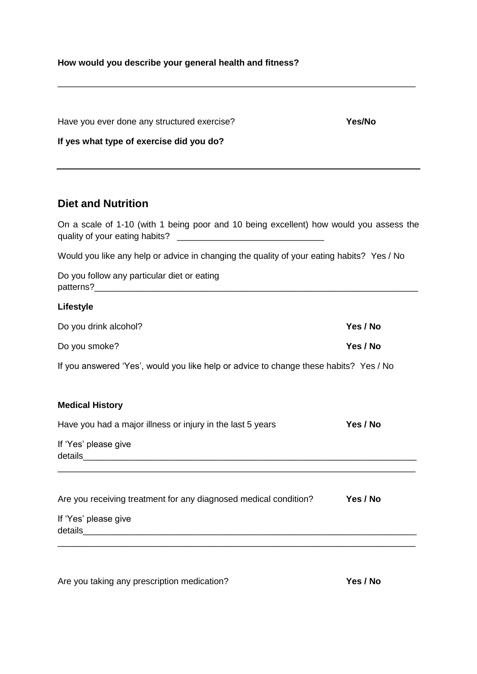### **How would you describe your general health and fitness?**

| Have you ever done any structured exercise? | <b>Yes/No</b> |
|---------------------------------------------|---------------|
| If yes what type of exercise did you do?    |               |

## **Diet and Nutrition**

| On a scale of 1-10 (with 1 being poor and 10 being excellent) how would you assess the                                                   |          |  |  |  |  |  |
|------------------------------------------------------------------------------------------------------------------------------------------|----------|--|--|--|--|--|
| Would you like any help or advice in changing the quality of your eating habits? Yes / No<br>Do you follow any particular diet or eating |          |  |  |  |  |  |
|                                                                                                                                          |          |  |  |  |  |  |
| Do you drink alcohol?                                                                                                                    | Yes / No |  |  |  |  |  |
| Do you smoke?                                                                                                                            | Yes / No |  |  |  |  |  |
| If you answered 'Yes', would you like help or advice to change these habits? Yes / No                                                    |          |  |  |  |  |  |
| <b>Medical History</b>                                                                                                                   |          |  |  |  |  |  |
| Have you had a major illness or injury in the last 5 years                                                                               | Yes / No |  |  |  |  |  |
| If 'Yes' please give                                                                                                                     |          |  |  |  |  |  |
| Are you receiving treatment for any diagnosed medical condition?                                                                         | Yes / No |  |  |  |  |  |
| If 'Yes' please give                                                                                                                     |          |  |  |  |  |  |
| <u> 1989 - Johann Harry Harry Harry Harry Harry Harry Harry Harry Harry Harry Harry Harry Harry Harry Harry Harry</u>                    |          |  |  |  |  |  |

Are you taking any prescription medication? **Yes / No**